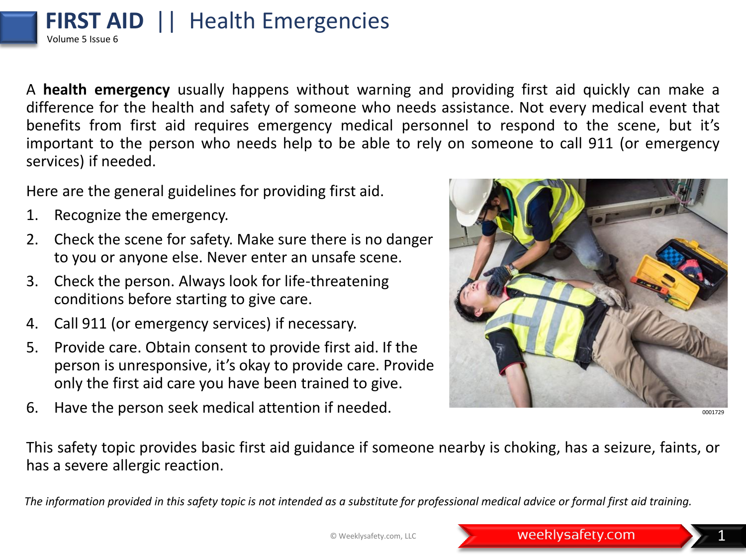## **FIRST AID** || Health Emergencies Volume 5 Issue 6

A **health emergency** usually happens without warning and providing first aid quickly can make a difference for the health and safety of someone who needs assistance. Not every medical event that benefits from first aid requires emergency medical personnel to respond to the scene, but it's important to the person who needs help to be able to rely on someone to call 911 (or emergency services) if needed.

Here are the general guidelines for providing first aid.

- 1. Recognize the emergency.
- 2. Check the scene for safety. Make sure there is no danger to you or anyone else. Never enter an unsafe scene.
- 3. Check the person. Always look for life-threatening conditions before starting to give care.
- 4. Call 911 (or emergency services) if necessary.
- 5. Provide care. Obtain consent to provide first aid. If the person is unresponsive, it's okay to provide care. Provide only the first aid care you have been trained to give.
- 6. Have the person seek medical attention if needed.



0001729

This safety topic provides basic first aid guidance if someone nearby is choking, has a seizure, faints, or has a severe allergic reaction.

*The information provided in this safety topic is not intended as a substitute for professional medical advice or formal first aid training.*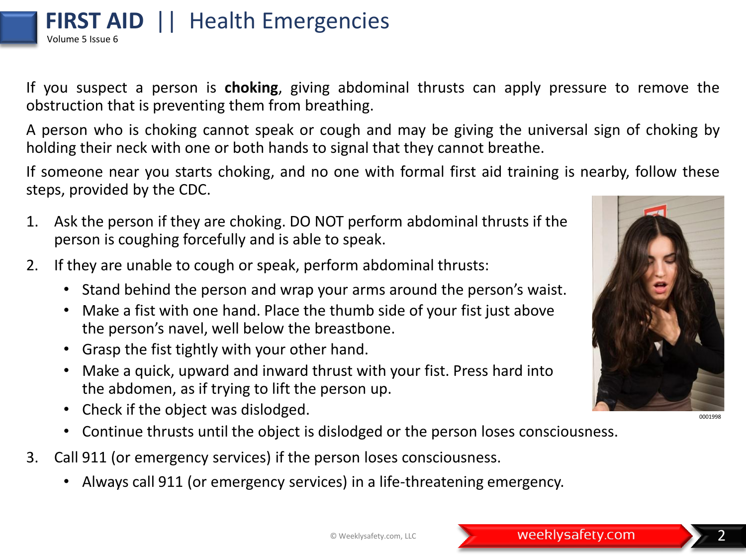© Weeklysafety.com, LLC **2008 Property Community Property.com** 

obstruction that is preventing them from breathing. A person who is choking cannot speak or cough and may be giving the universal sign of choking by holding their neck with one or both hands to signal that they cannot breathe.

If someone near you starts choking, and no one with formal first aid training is nearby, follow these steps, provided by the CDC.

- 1. Ask the person if they are choking. DO NOT perform abdominal thrusts if the person is coughing forcefully and is able to speak.
- 2. If they are unable to cough or speak, perform abdominal thrusts:
	- Stand behind the person and wrap your arms around the person's waist.
	- Make a fist with one hand. Place the thumb side of your fist just above the person's navel, well below the breastbone.
	- Grasp the fist tightly with your other hand.
	- Make a quick, upward and inward thrust with your fist. Press hard into the abdomen, as if trying to lift the person up.
	- Check if the object was dislodged.
	- Continue thrusts until the object is dislodged or the person loses consciousness.
- 3. Call 911 (or emergency services) if the person loses consciousness.
	- Always call 911 (or emergency services) in a life-threatening emergency.

If you suspect a person is **choking**, giving abdominal thrusts can apply pressure to remove the



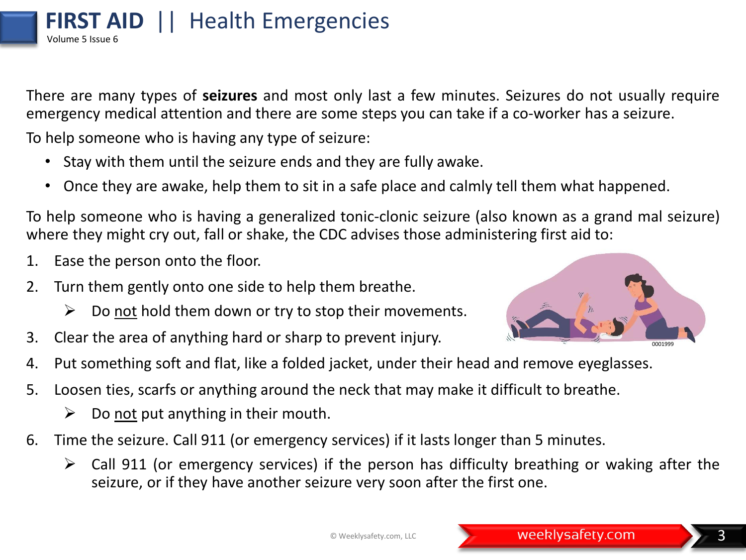There are many types of **seizures** and most only last a few minutes. Seizures do not usually require emergency medical attention and there are some steps you can take if a co-worker has a seizure.

To help someone who is having any type of seizure:

- Stay with them until the seizure ends and they are fully awake.
- Once they are awake, help them to sit in a safe place and calmly tell them what happened.

To help someone who is having a generalized tonic-clonic seizure (also known as a grand mal seizure) where they might cry out, fall or shake, the CDC advises those administering first aid to:

- 1. Ease the person onto the floor.
- 2. Turn them gently onto one side to help them breathe.
	- $\triangleright$  Do not hold them down or try to stop their movements.
- 3. Clear the area of anything hard or sharp to prevent injury.
- 4. Put something soft and flat, like a folded jacket, under their head and remove eyeglasses.
- 5. Loosen ties, scarfs or anything around the neck that may make it difficult to breathe.
	- $\triangleright$  Do not put anything in their mouth.
- 6. Time the seizure. Call 911 (or emergency services) if it lasts longer than 5 minutes.
	- $\triangleright$  Call 911 (or emergency services) if the person has difficulty breathing or waking after the seizure, or if they have another seizure very soon after the first one.

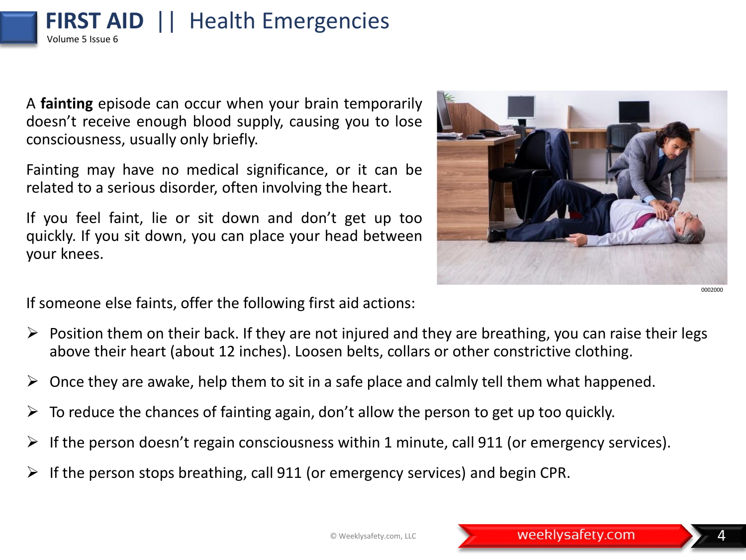A **fainting** episode can occur when your brain temporarily doesn't receive enough blood supply, causing you to lose consciousness, usually only briefly.

**FIRST AID** || Health Emergencies

Volume 5 Issue 6

Fainting may have no medical significance, or it can be related to a serious disorder, often involving the heart.

If you feel faint, lie or sit down and don't get up too quickly. If you sit down, you can place your head between your knees.



If someone else faints, offer the following first aid actions:

- $\triangleright$  Position them on their back. If they are not injured and they are breathing, you can raise their legs above their heart (about 12 inches). Loosen belts, collars or other constrictive clothing.
- $\triangleright$  Once they are awake, help them to sit in a safe place and calmly tell them what happened.
- $\triangleright$  To reduce the chances of fainting again, don't allow the person to get up too quickly.
- $\triangleright$  If the person doesn't regain consciousness within 1 minute, call 911 (or emergency services).
- $\triangleright$  If the person stops breathing, call 911 (or emergency services) and begin CPR.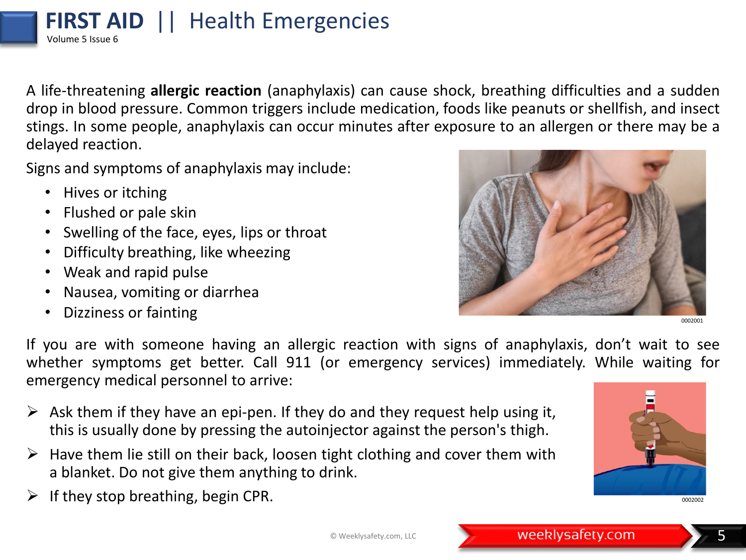A life-threatening **allergic reaction** (anaphylaxis) can cause shock, breathing difficulties and a sudden drop in blood pressure. Common triggers include medication, foods like peanuts or shellfish, and insect stings. In some people, anaphylaxis can occur minutes after exposure to an allergen or there may be a delayed reaction.

Signs and symptoms of anaphylaxis may include:

**FIRST AID** || Health Emergencies

• Hives or itching

Volume 5 Issue 6

- Flushed or pale skin
- Swelling of the face, eyes, lips or throat
- Difficulty breathing, like wheezing
- Weak and rapid pulse
- Nausea, vomiting or diarrhea
- Dizziness or fainting



0002001

If you are with someone having an allergic reaction with signs of anaphylaxis, don't wait to see whether symptoms get better. Call 911 (or emergency services) immediately. While waiting for emergency medical personnel to arrive:

- $\triangleright$  Ask them if they have an epi-pen. If they do and they request help using it, this is usually done by pressing the autoinjector against the person's thigh.
- $\triangleright$  Have them lie still on their back, loosen tight clothing and cover them with a blanket. Do not give them anything to drink.
- $\triangleright$  If they stop breathing, begin CPR.



0002002